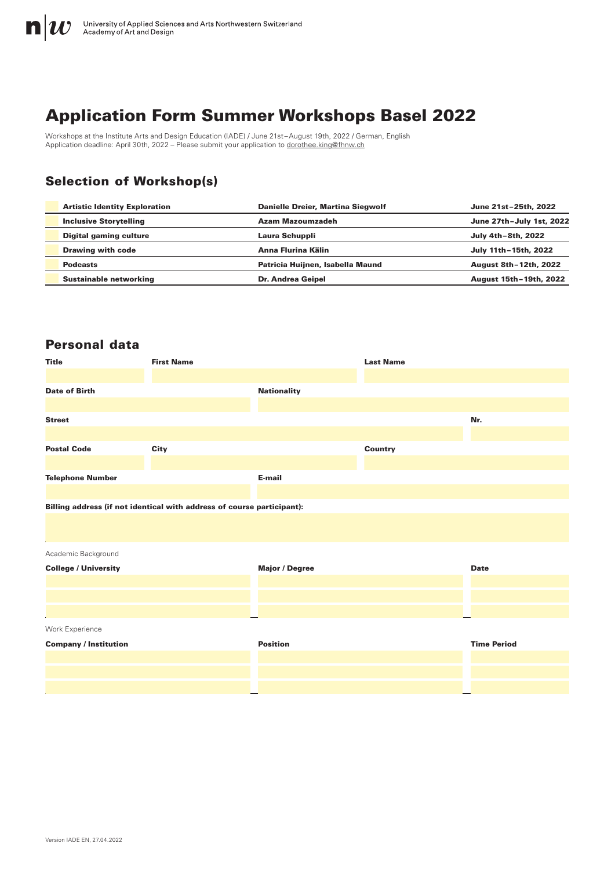

# Application Form Summer Workshops Basel 2022

Workshops at the Institute Arts and Design Education (IADE) / June 21st–August 19th, 2022 / German, English Application deadline: April 30th, 2022 – Please submit your application to [dorothee.king@fhnw.ch](mailto:dorothee.king%40fhnw.ch?subject=)

## Selection of Workshop(s)

| <b>Artistic Identity Exploration</b> | Danielle Dreier, Martina Siegwolf | June 21st-25th, 2022     |
|--------------------------------------|-----------------------------------|--------------------------|
| <b>Inclusive Storytelling</b>        | Azam Mazoumzadeh                  | June 27th-July 1st, 2022 |
| <b>Digital gaming culture</b>        | Laura Schuppli                    | July 4th-8th, 2022       |
| <b>Drawing with code</b>             | Anna Flurina Kälin                | July 11th-15th, 2022     |
| <b>Podcasts</b>                      | Patricia Huijnen, Isabella Maund  | August 8th-12th, 2022    |
| <b>Sustainable networking</b>        | <b>Dr. Andrea Geipel</b>          | August 15th-19th, 2022   |

### Personal data

| <b>Title</b>                                                           | <b>First Name</b> |                       | <b>Last Name</b> |                    |
|------------------------------------------------------------------------|-------------------|-----------------------|------------------|--------------------|
| <b>Date of Birth</b>                                                   |                   | <b>Nationality</b>    |                  |                    |
| <b>Street</b>                                                          |                   |                       |                  | Nr.                |
| <b>Postal Code</b>                                                     | City              |                       | <b>Country</b>   |                    |
| <b>Telephone Number</b>                                                |                   | E-mail                |                  |                    |
| Billing address (if not identical with address of course participant): |                   |                       |                  |                    |
| Academic Background                                                    |                   |                       |                  |                    |
| <b>College / University</b>                                            |                   | <b>Major / Degree</b> |                  | <b>Date</b>        |
|                                                                        |                   |                       |                  |                    |
| Work Experience                                                        |                   |                       |                  |                    |
| <b>Company / Institution</b>                                           |                   | <b>Position</b>       |                  | <b>Time Period</b> |
|                                                                        |                   |                       |                  |                    |
|                                                                        |                   |                       |                  |                    |